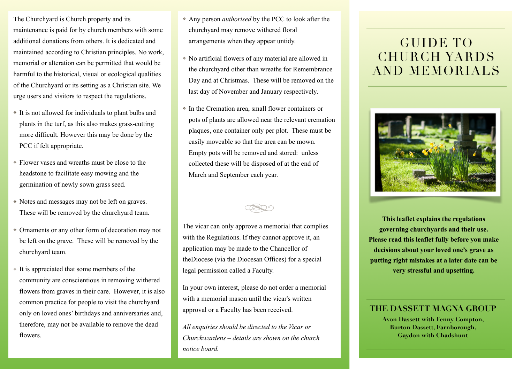The Churchyard is Church property and its maintenance is paid for by church members with some additional donations from others. It is dedicated and maintained according to Christian principles. No work, memorial or alteration can be permitted that would be harmful to the historical, visual or ecological qualities of the Churchyard or its setting as a Christian site. We urge users and visitors to respect the regulations.

- ❖ It is not allowed for individuals to plant bulbs and plants in the turf, as this also makes grass-cutting more difficult. However this may be done by the PCC if felt appropriate.
- ❖ Flower vases and wreaths must be close to the headstone to facilitate easy mowing and the germination of newly sown grass seed.
- ❖ Notes and messages may not be left on graves. These will be removed by the churchyard team.
- ❖ Ornaments or any other form of decoration may not be left on the grave. These will be removed by the churchyard team.
- ❖ It is appreciated that some members of the community are conscientious in removing withered flowers from graves in their care. However, it is also common practice for people to visit the churchyard only on loved ones' birthdays and anniversaries and, therefore, may not be available to remove the dead flowers.
- ❖ Any person *authorised* by the PCC to look after the churchyard may remove withered floral arrangements when they appear untidy.
- ❖ No artificial flowers of any material are allowed in the churchyard other than wreaths for Remembrance Day and at Christmas. These will be removed on the last day of November and January respectively.
- ❖ In the Cremation area, small flower containers or pots of plants are allowed near the relevant cremation plaques, one container only per plot. These must be easily moveable so that the area can be mown. Empty pots will be removed and stored: unless collected these will be disposed of at the end of March and September each year.



The vicar can only approve a memorial that complies with the Regulations. If they cannot approve it, an application may be made to the Chancellor of theDiocese (via the Diocesan Offices) for a special legal permission called a Faculty.

In your own interest, please do not order a memorial with a memorial mason until the vicar's written approval or a Faculty has been received.

*All enquiries should be directed to the Vicar or Churchwardens – details are shown on the church notice board.*

## GUIDE TO CHURCH YARDS AND MEMORIALS



**This leaflet explains the regulations governing churchyards and their use. Please read this leaflet fully before you make decisions about your loved one's grave as putting right mistakes at a later date can be very stressful and upsetting.**

## **THE DASSETT MAGNA GROUP**

**Avon Dassett with Fenny Compton, Burton Dassett, Farnborough, Gaydon with Chadshunt**